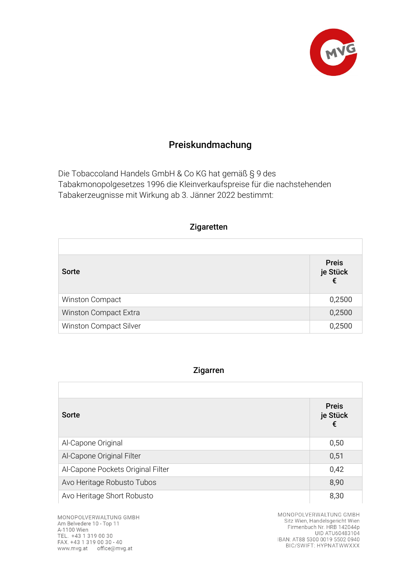

## Preiskundmachung

Die Tobaccoland Handels GmbH & Co KG hat gemäß § 9 des Tabakmonopolgesetzes 1996 die Kleinverkaufspreise für die nachstehenden Tabakerzeugnisse mit Wirkung ab 3. Jänner 2022 bestimmt:

| Zigaretten             |                               |
|------------------------|-------------------------------|
|                        |                               |
| <b>Sorte</b>           | <b>Preis</b><br>je Stück<br>€ |
| Winston Compact        | 0,2500                        |
| Winston Compact Extra  | 0,2500                        |
| Winston Compact Silver | 0,2500                        |

## Zigarren

| <b>Sorte</b>                      | <b>Preis</b><br>je Stück<br>€ |
|-----------------------------------|-------------------------------|
| Al-Capone Original                | 0,50                          |
| Al-Capone Original Filter         | 0,51                          |
| Al-Capone Pockets Original Filter | 0,42                          |
| Avo Heritage Robusto Tubos        | 8,90                          |
| Avo Heritage Short Robusto        | 8,30                          |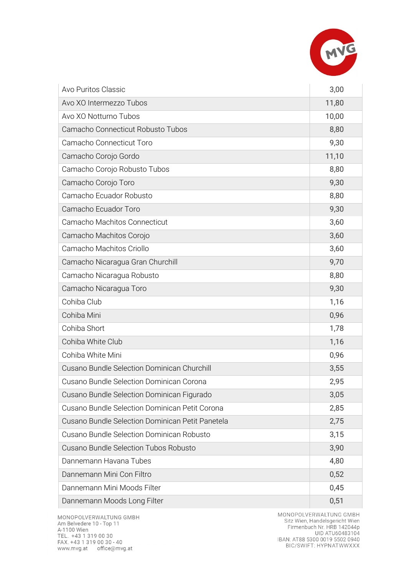

| Avo Puritos Classic                              | 3,00  |
|--------------------------------------------------|-------|
| Avo XO Intermezzo Tubos                          | 11,80 |
| Avo XO Notturno Tubos                            | 10,00 |
| Camacho Connecticut Robusto Tubos                | 8,80  |
| Camacho Connecticut Toro                         | 9,30  |
| Camacho Corojo Gordo                             | 11,10 |
| Camacho Corojo Robusto Tubos                     | 8,80  |
| Camacho Corojo Toro                              | 9,30  |
| Camacho Ecuador Robusto                          | 8,80  |
| Camacho Ecuador Toro                             | 9,30  |
| Camacho Machitos Connecticut                     | 3,60  |
| Camacho Machitos Corojo                          | 3,60  |
| Camacho Machitos Criollo                         | 3,60  |
| Camacho Nicaragua Gran Churchill                 | 9,70  |
| Camacho Nicaragua Robusto                        | 8,80  |
| Camacho Nicaragua Toro                           | 9,30  |
| Cohiba Club                                      | 1,16  |
| Cohiba Mini                                      | 0,96  |
| Cohiba Short                                     | 1,78  |
| Cohiba White Club                                | 1,16  |
| Cohiba White Mini                                | 0,96  |
| Cusano Bundle Selection Dominican Churchill      | 3,55  |
| Cusano Bundle Selection Dominican Corona         | 2,95  |
| Cusano Bundle Selection Dominican Figurado       | 3,05  |
| Cusano Bundle Selection Dominican Petit Corona   | 2,85  |
| Cusano Bundle Selection Dominican Petit Panetela | 2,75  |
| Cusano Bundle Selection Dominican Robusto        | 3,15  |
| Cusano Bundle Selection Tubos Robusto            | 3,90  |
| Dannemann Havana Tubes                           | 4,80  |
| Dannemann Mini Con Filtro                        | 0,52  |
| Dannemann Mini Moods Filter                      | 0,45  |
| Dannemann Moods Long Filter                      | 0,51  |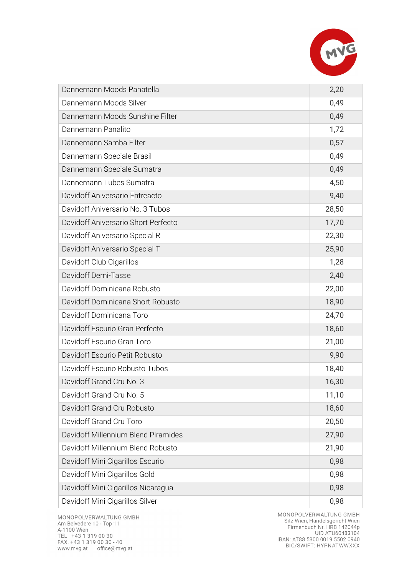

| Dannemann Moods Panatella           | 2,20  |
|-------------------------------------|-------|
| Dannemann Moods Silver              | 0,49  |
| Dannemann Moods Sunshine Filter     | 0,49  |
| Dannemann Panalito                  | 1,72  |
| Dannemann Samba Filter              | 0,57  |
| Dannemann Speciale Brasil           | 0,49  |
| Dannemann Speciale Sumatra          | 0,49  |
| Dannemann Tubes Sumatra             | 4,50  |
| Davidoff Aniversario Entreacto      | 9,40  |
| Davidoff Aniversario No. 3 Tubos    | 28,50 |
| Davidoff Aniversario Short Perfecto | 17,70 |
| Davidoff Aniversario Special R      | 22,30 |
| Davidoff Aniversario Special T      | 25,90 |
| Davidoff Club Cigarillos            | 1,28  |
| Davidoff Demi-Tasse                 | 2,40  |
| Davidoff Dominicana Robusto         | 22,00 |
| Davidoff Dominicana Short Robusto   | 18,90 |
| Davidoff Dominicana Toro            | 24,70 |
| Davidoff Escurio Gran Perfecto      | 18,60 |
| Davidoff Escurio Gran Toro          | 21,00 |
| Davidoff Escurio Petit Robusto      | 9,90  |
| Davidoff Escurio Robusto Tubos      | 18,40 |
| Davidoff Grand Cru No. 3            | 16,30 |
| Davidoff Grand Cru No. 5            | 11,10 |
| Davidoff Grand Cru Robusto          | 18,60 |
| Davidoff Grand Cru Toro             | 20,50 |
| Davidoff Millennium Blend Piramides | 27,90 |
| Davidoff Millennium Blend Robusto   | 21,90 |
| Davidoff Mini Cigarillos Escurio    | 0,98  |
| Davidoff Mini Cigarillos Gold       | 0,98  |
| Davidoff Mini Cigarillos Nicaragua  | 0,98  |
| Davidoff Mini Cigarillos Silver     | 0,98  |

MONOPOLVERWALTUNG GMBH<br>Am Belvedere 10 - Top 11 Am Belveuere To Frop Tr<br>A-1100 Wien<br>TEL. +43 1 319 00 30<br>FAX. +43 1 319 00 30 - 40 www.mvg.at office@mvg.at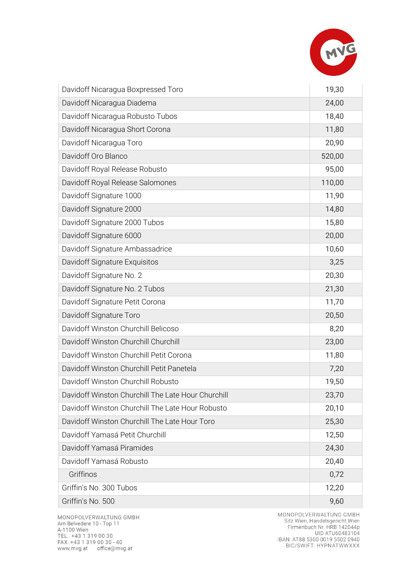

| Davidoff Nicaragua Boxpressed Toro                 | 19,30  |
|----------------------------------------------------|--------|
| Davidoff Nicaragua Diadema                         | 24,00  |
| Davidoff Nicaragua Robusto Tubos                   | 18,40  |
| Davidoff Nicaragua Short Corona                    | 11,80  |
| Davidoff Nicaragua Toro                            | 20,90  |
| Davidoff Oro Blanco                                | 520,00 |
| Davidoff Royal Release Robusto                     | 95,00  |
| Davidoff Royal Release Salomones                   | 110,00 |
| Davidoff Signature 1000                            | 11,90  |
| Davidoff Signature 2000                            | 14,80  |
| Davidoff Signature 2000 Tubos                      | 15,80  |
| Davidoff Signature 6000                            | 20,00  |
| Davidoff Signature Ambassadrice                    | 10,60  |
| Davidoff Signature Exquisitos                      | 3,25   |
| Davidoff Signature No. 2                           | 20,30  |
| Davidoff Signature No. 2 Tubos                     | 21,30  |
| Davidoff Signature Petit Corona                    | 11,70  |
| Davidoff Signature Toro                            | 20,50  |
| Davidoff Winston Churchill Belicoso                | 8,20   |
| Davidoff Winston Churchill Churchill               | 23,00  |
| Davidoff Winston Churchill Petit Corona            | 11,80  |
| Davidoff Winston Churchill Petit Panetela          | 7,20   |
| Davidoff Winston Churchill Robusto                 | 19,50  |
| Davidoff Winston Churchill The Late Hour Churchill | 23,70  |
| Davidoff Winston Churchill The Late Hour Robusto   | 20,10  |
| Davidoff Winston Churchill The Late Hour Toro      | 25,30  |
| Davidoff Yamasá Petit Churchill                    | 12,50  |
| Davidoff Yamasá Piramides                          | 24,30  |
| Davidoff Yamasá Robusto                            | 20,40  |
| Griffinos                                          | 0,72   |
| Griffin's No. 300 Tubos                            | 12,20  |
| Griffin's No. 500                                  | 9,60   |

MONOPOLVERWALTUNG GMBH<br>Am Belvedere 10 - Top 11 Am Belvedele 10 - 10p 11<br>A-1100 Wien<br>TEL. +43 1 319 00 30<br>FAX. +43 1 319 00 30 - 40 www.mvg.at office@mvg.at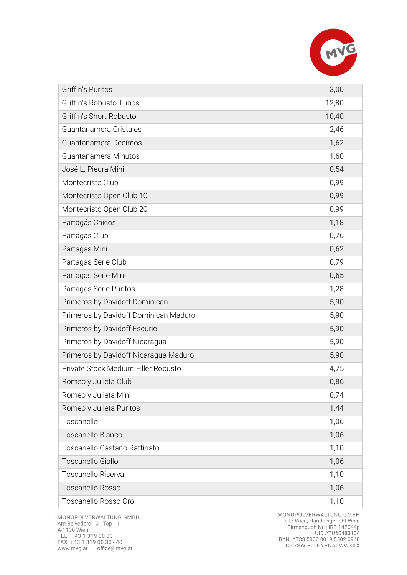

| <b>Griffin's Puritos</b>              | 3,00  |
|---------------------------------------|-------|
| Griffin's Robusto Tubos               | 12,80 |
| Griffin's Short Robusto               | 10,40 |
| Guantanamera Cristales                | 2,46  |
| Guantanamera Decimos                  | 1,62  |
| Guantanamera Minutos                  | 1,60  |
| José L. Piedra Mini                   | 0,54  |
| Montecristo Club                      | 0,99  |
| Montecristo Open Club 10              | 0,99  |
| Montecristo Open Club 20              | 0,99  |
| Partagás Chicos                       | 1,18  |
| Partagas Club                         | 0,76  |
| Partagas Mini                         | 0,62  |
| Partagas Serie Club                   | 0,79  |
| Partagas Serie Mini                   | 0,65  |
| Partagas Serie Puritos                | 1,28  |
| Primeros by Davidoff Dominican        | 5,90  |
| Primeros by Davidoff Dominican Maduro | 5,90  |
| Primeros by Davidoff Escurio          | 5,90  |
| Primeros by Davidoff Nicaragua        | 5,90  |
| Primeros by Davidoff Nicaragua Maduro | 5,90  |
| Private Stock Medium Filler Robusto   | 4,75  |
| Romeo y Julieta Club                  | 0,86  |
| Romeo y Julieta Mini                  | 0,74  |
| Romeo y Julieta Puritos               | 1,44  |
| Toscanello                            | 1,06  |
| Toscanello Bianco                     | 1,06  |
| Toscanello Castano Raffinato          | 1,10  |
| Toscanello Giallo                     | 1,06  |
| Toscanello Riserva                    | 1,10  |
| <b>Toscanello Rosso</b>               | 1,06  |
| Toscanello Rosso Oro                  | 1,10  |

MONOPOLVERWALTUNG GMBH<br>Am Belvedere 10 - Top 11 Am Belvedele 10 - 10p 11<br>A-1100 Wien<br>TEL. +43 1 319 00 30<br>FAX. +43 1 319 00 30 - 40<br>www.mvg.at office@mvg.at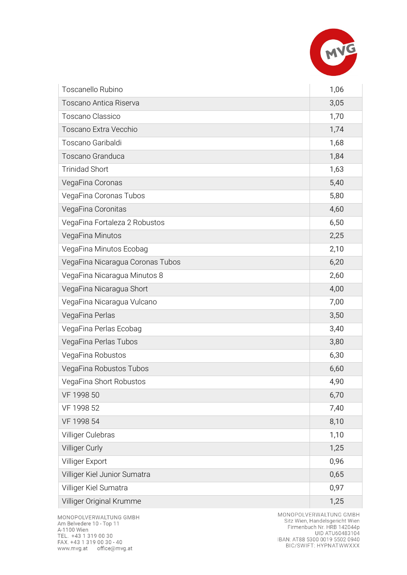

| Toscanello Rubino                | 1,06 |
|----------------------------------|------|
| Toscano Antica Riserva           | 3,05 |
| <b>Toscano Classico</b>          | 1,70 |
| Toscano Extra Vecchio            | 1,74 |
| Toscano Garibaldi                | 1,68 |
| Toscano Granduca                 | 1,84 |
| <b>Trinidad Short</b>            | 1,63 |
| VegaFina Coronas                 | 5,40 |
| VegaFina Coronas Tubos           | 5,80 |
| VegaFina Coronitas               | 4,60 |
| VegaFina Fortaleza 2 Robustos    | 6,50 |
| VegaFina Minutos                 | 2,25 |
| VegaFina Minutos Ecobag          | 2,10 |
| VegaFina Nicaragua Coronas Tubos | 6,20 |
| VegaFina Nicaragua Minutos 8     | 2,60 |
| VegaFina Nicaragua Short         | 4,00 |
| VegaFina Nicaragua Vulcano       | 7,00 |
| VegaFina Perlas                  | 3,50 |
| VegaFina Perlas Ecobag           | 3,40 |
| VegaFina Perlas Tubos            | 3,80 |
| VegaFina Robustos                | 6,30 |
| VegaFina Robustos Tubos          | 6,60 |
| VegaFina Short Robustos          | 4,90 |
| VF 1998 50                       | 6,70 |
| VF 1998 52                       | 7,40 |
| VF 1998 54                       | 8,10 |
| Villiger Culebras                | 1,10 |
| Villiger Curly                   | 1,25 |
| Villiger Export                  | 0,96 |
| Villiger Kiel Junior Sumatra     | 0,65 |
| Villiger Kiel Sumatra            | 0,97 |
| Villiger Original Krumme         | 1,25 |

MONOPOLVERWALTUNG GMBH<br>Am Belvedere 10 - Top 11 Am Belvedele 10 - 10p 11<br>A-1100 Wien<br>TEL. +43 1 319 00 30<br>FAX. +43 1 319 00 30 - 40<br>www.mvg.at office@mvg.at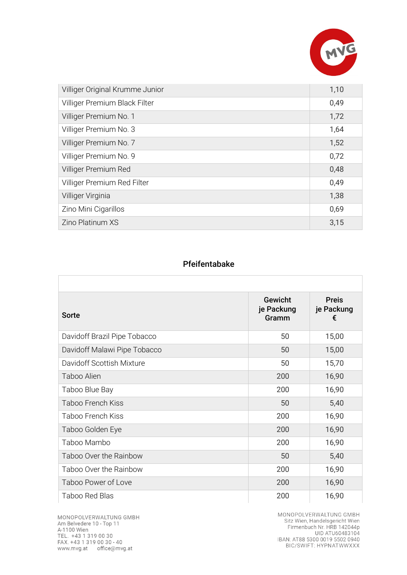

| Villiger Original Krumme Junior | 1,10 |
|---------------------------------|------|
| Villiger Premium Black Filter   | 0,49 |
| Villiger Premium No. 1          | 1,72 |
| Villiger Premium No. 3          | 1,64 |
| Villiger Premium No. 7          | 1,52 |
| Villiger Premium No. 9          | 0,72 |
| Villiger Premium Red            | 0,48 |
| Villiger Premium Red Filter     | 0,49 |
| Villiger Virginia               | 1,38 |
| Zino Mini Cigarillos            | 0,69 |
| Zino Platinum XS                | 3,15 |

## Pfeifentabake

| Sorte                        | <b>Gewicht</b><br>je Packung<br>Gramm | <b>Preis</b><br>je Packung<br>€ |
|------------------------------|---------------------------------------|---------------------------------|
| Davidoff Brazil Pipe Tobacco | 50                                    | 15,00                           |
| Davidoff Malawi Pipe Tobacco | 50                                    | 15,00                           |
| Davidoff Scottish Mixture    | 50                                    | 15,70                           |
| Taboo Alien                  | 200                                   | 16,90                           |
| Taboo Blue Bay               | 200                                   | 16,90                           |
| Taboo French Kiss            | 50                                    | 5,40                            |
| Taboo French Kiss            | 200                                   | 16,90                           |
| Taboo Golden Eye             | 200                                   | 16,90                           |
| Taboo Mambo                  | 200                                   | 16,90                           |
| Taboo Over the Rainbow       | 50                                    | 5,40                            |
| Taboo Over the Rainbow       | 200                                   | 16,90                           |
| Taboo Power of Love          | 200                                   | 16,90                           |
| Taboo Red Blas               | 200                                   | 16,90                           |

MONOPOLVERWALTUNG GMBH Am Belvedere 10 - Top 11 Am Belvedele 10 - 10p 11<br>A-1100 Wien<br>TEL. +43 1 319 00 30<br>FAX. +43 1 319 00 30 - 40 www.mvg.at office@mvg.at